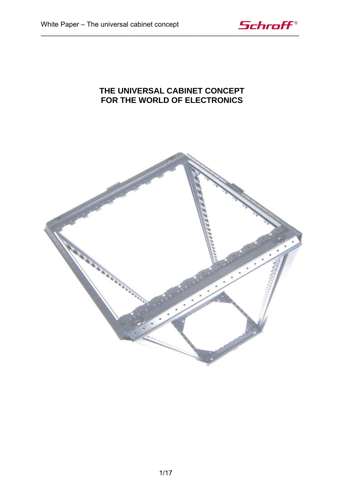

## **THE UNIVERSAL CABINET CONCEPT FOR THE WORLD OF ELECTRONICS**

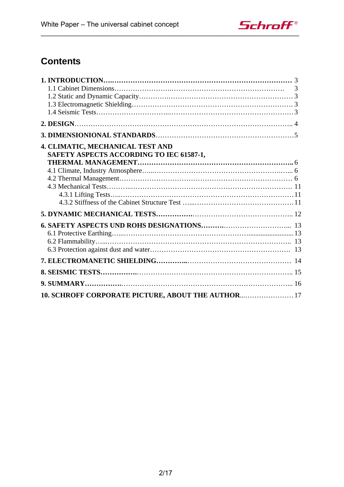

# **Contents**

|                                                                              | 3 |
|------------------------------------------------------------------------------|---|
|                                                                              |   |
|                                                                              |   |
|                                                                              |   |
|                                                                              |   |
|                                                                              |   |
| 4. CLIMATIC, MECHANICAL TEST AND<br>SAFETY ASPECTS ACCORDING TO IEC 61587-1, |   |
|                                                                              |   |
|                                                                              |   |
|                                                                              |   |
|                                                                              |   |
|                                                                              |   |
|                                                                              |   |
|                                                                              |   |
|                                                                              |   |
|                                                                              |   |
|                                                                              |   |
|                                                                              |   |
|                                                                              |   |
|                                                                              |   |
| 10. SCHROFF CORPORATE PICTURE, ABOUT THE AUTHOR 17                           |   |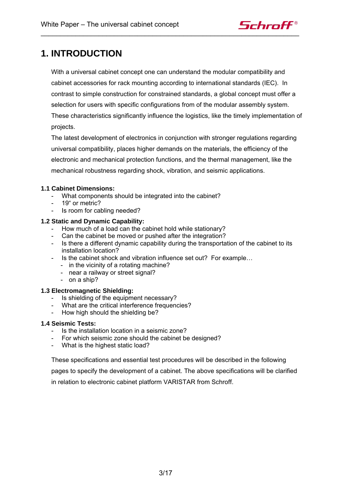

# **1. INTRODUCTION**

With a universal cabinet concept one can understand the modular compatibility and cabinet accessories for rack mounting according to international standards (IEC). In contrast to simple construction for constrained standards, a global concept must offer a selection for users with specific configurations from of the modular assembly system. These characteristics significantly influence the logistics, like the timely implementation of projects.

The latest development of electronics in conjunction with stronger regulations regarding universal compatibility, places higher demands on the materials, the efficiency of the electronic and mechanical protection functions, and the thermal management, like the mechanical robustness regarding shock, vibration, and seismic applications.

### **1.1 Cabinet Dimensions:**

- What components should be integrated into the cabinet?
- 19" or metric?
- Is room for cabling needed?

### **1.2 Static and Dynamic Capability:**

- How much of a load can the cabinet hold while stationary?
- Can the cabinet be moved or pushed after the integration?
- Is there a different dynamic capability during the transportation of the cabinet to its installation location?
- Is the cabinet shock and vibration influence set out? For example…
	- in the vicinity of a rotating machine?
	- near a railway or street signal?
	- on a ship?

### **1.3 Electromagnetic Shielding:**

- Is shielding of the equipment necessary?
- What are the critical interference frequencies?
- How high should the shielding be?

### **1.4 Seismic Tests:**

- Is the installation location in a seismic zone?
- For which seismic zone should the cabinet be designed?
- What is the highest static load?

These specifications and essential test procedures will be described in the following

pages to specify the development of a cabinet. The above specifications will be clarified in relation to electronic cabinet platform VARISTAR from Schroff.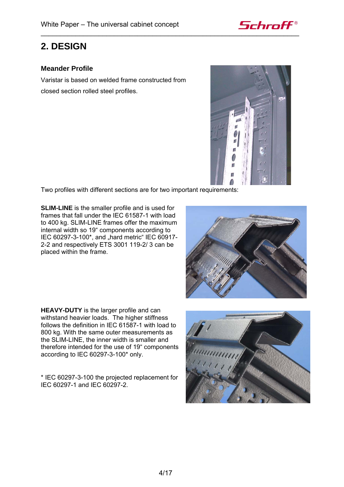

## **2. DESIGN**

## **Meander Profile**

Varistar is based on welded frame constructed from closed section rolled steel profiles.



Two profiles with different sections are for two important requirements:

**SLIM-LINE** is the smaller profile and is used for frames that fall under the IEC 61587-1 with load to 400 kg. SLIM-LINE frames offer the maximum internal width so 19" components according to IEC 60297-3-100\*, and "hard metric" IEC 60917-2-2 and respectively ETS 3001 119-2/ 3 can be placed within the frame.



**HEAVY-DUTY** is the larger profile and can withstand heavier loads. The higher stiffness follows the definition in IEC 61587-1 with load to 800 kg. With the same outer measurements as the SLIM-LINE, the inner width is smaller and therefore intended for the use of 19" components according to IEC 60297-3-100\* only.

\* IEC 60297-3-100 the projected replacement for IEC 60297-1 and IEC 60297-2.

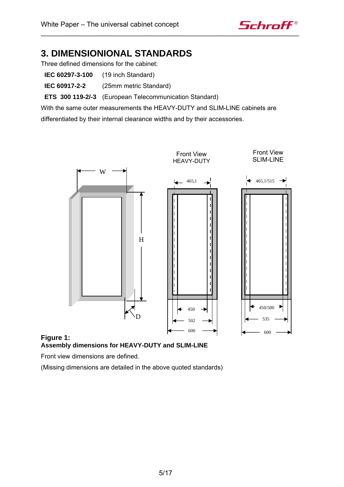

# **3. DIMENSIONIONAL STANDARDS**

Three defined dimensions for the cabinet:

- **IEC 60297-3-100** (19 inch Standard)
- **IEC 60917-2-2** (25mm metric Standard)

**ETS 300 119-2/-3** (European Telecommunication Standard)

With the same outer measurements the HEAVY-DUTY and SLIM-LINE cabinets are differentiated by their internal clearance widths and by their accessories.





Front view dimensions are defined.

(Missing dimensions are detailed in the above quoted standards)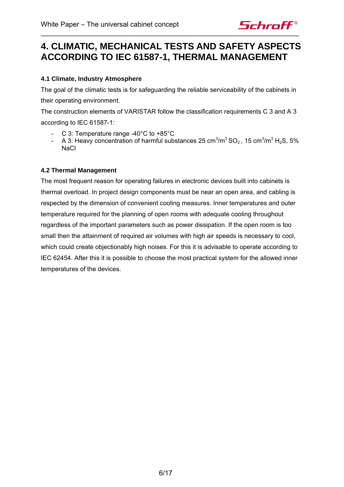

# **4. CLIMATIC, MECHANICAL TESTS AND SAFETY ASPECTS ACCORDING TO IEC 61587-1, THERMAL MANAGEMENT**

## **4.1 Climate, Industry Atmosphere**

The goal of the climatic tests is for safeguarding the reliable serviceability of the cabinets in their operating environment.

The construction elements of VARISTAR follow the classification requirements C 3 and A 3 according to IEC 61587-1:

- C 3: Temperature range -40°C to +85°C
- A 3: Heavy concentration of harmful substances 25 cm<sup>3</sup>/m<sup>3</sup> SO<sub>2</sub>, 15 cm<sup>3</sup>/m<sup>3</sup> H<sub>2</sub>S, 5% **NaCl**

### **4.2 Thermal Management**

The most frequent reason for operating failures in electronic devices built into cabinets is thermal overload. In project design components must be near an open area, and cabling is respected by the dimension of convenient cooling measures. Inner temperatures and outer temperature required for the planning of open rooms with adequate cooling throughout regardless of the important parameters such as power dissipation. If the open room is too small then the attainment of required air volumes with high air speeds is necessary to cool, which could create objectionably high noises. For this it is advisable to operate according to IEC 62454. After this it is possible to choose the most practical system for the allowed inner temperatures of the devices.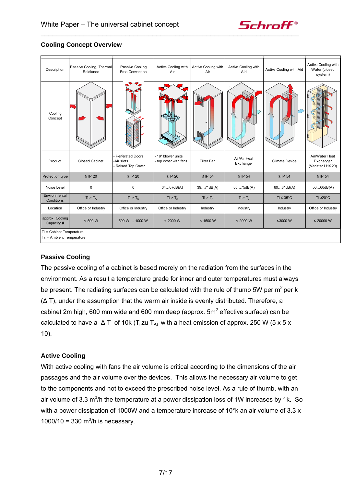

## **Cooling Concept Overview**

| Description                                             | Passive Cooling, Thermal<br>Raidiance | Passive Cooling<br>Free Convection                        | Active Cooling with<br>Air                | Active Cooling with<br>Air | Active Cooling with<br>Aid | Active Cooling with Aid | Active Cooling with<br>Water (closed<br>system)  |
|---------------------------------------------------------|---------------------------------------|-----------------------------------------------------------|-------------------------------------------|----------------------------|----------------------------|-------------------------|--------------------------------------------------|
| Cooling<br>Concept                                      |                                       |                                                           |                                           |                            |                            |                         |                                                  |
| Product                                                 | <b>Closed Cabinet</b>                 | <b>Perferated Doors</b><br>-Air slots<br>Raised Top Cover | 19" blower units<br>- top cover with fans | Filter Fan                 | Air/Air Heat<br>Exchanger  | <b>Climate Device</b>   | Air/Water Heat<br>Exchanger<br>(Varistar LHX 20) |
| Protection type                                         | $\ge$ IP 20                           | $\ge$ IP 20                                               | $\ge$ IP 20                               | $\leq$ IP 54               | $\ge$ IP 54                | $\ge$ IP 54             | $\ge$ IP 54                                      |
| Noise Level                                             | $\mathbf 0$                           | $\mathbf 0$                                               | 3467dB(A)                                 | 3971dB(A)                  | 5575dB(A)                  | 6081dB(A)               | 5060dB(A)                                        |
| Environmental<br>Conditions                             | $Ti > T_A$                            | $Ti > T_A$                                                | $Ti > T_A$                                | $Ti > T_A$                 | Ti > T <sub>u</sub>        | $Ti \leq 35^{\circ}$ C  | Ti ≥20 $^{\circ}$ C                              |
| Location                                                | Office or Industry                    | Office or Industry                                        | Office or Industry                        | Industry                   | Industry                   | Industry                | Office or Industry                               |
| approx. Cooling<br>Capacity #                           | < 500 W                               | 500 W  1000 W                                             | < 2000 W                                  | < 1500 W                   | < 2000 W                   | ≤3000W                  | $\leq$ 20000 W                                   |
| Ti = Cabinet Temperature<br>$T_A$ = Ambient Temperature |                                       |                                                           |                                           |                            |                            |                         |                                                  |

### **Passive Cooling**

The passive cooling of a cabinet is based merely on the radiation from the surfaces in the environment. As a result a temperature grade for inner and outer temperatures must always be present. The radiating surfaces can be calculated with the rule of thumb 5W per  $m^2$  per k (∆ T), under the assumption that the warm air inside is evenly distributed. Therefore, a cabinet 2m high, 600 mm wide and 600 mm deep (approx.  $5m^2$  effective surface) can be calculated to have a  $\Delta T$  of 10k (T<sub>i</sub>zu T<sub>A)</sub> with a heat emission of approx. 250 W (5 x 5 x 10).

### **Active Cooling**

With active cooling with fans the air volume is critical according to the dimensions of the air passages and the air volume over the devices. This allows the necessary air volume to get to the components and not to exceed the prescribed noise level. As a rule of thumb, with an air volume of 3.3 m<sup>3</sup>/h the temperature at a power dissipation loss of 1W increases by 1k. So with a power dissipation of 1000W and a temperature increase of 10°k an air volume of 3.3 x 1000/10 = 330  $m^3/h$  is necessary.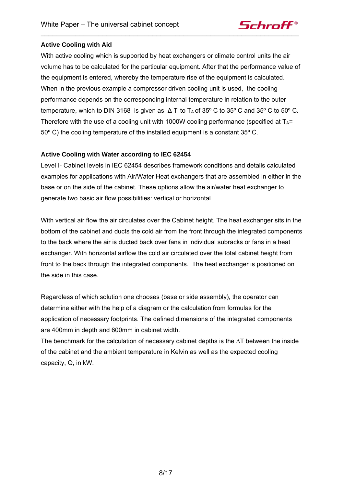

### **Active Cooling with Aid**

With active cooling which is supported by heat exchangers or climate control units the air volume has to be calculated for the particular equipment. After that the performance value of the equipment is entered, whereby the temperature rise of the equipment is calculated. When in the previous example a compressor driven cooling unit is used, the cooling performance depends on the corresponding internal temperature in relation to the outer temperature, which to DIN 3168 is given as  $\Delta T_i$  to  $T_A$  of 35° C to 35° C and 35° C to 50° C. Therefore with the use of a cooling unit with 1000W cooling performance (specified at  $T_A$ = 50º C) the cooling temperature of the installed equipment is a constant 35º C.

### **Active Cooling with Water according to IEC 62454**

Level I- Cabinet levels in IEC 62454 describes framework conditions and details calculated examples for applications with Air/Water Heat exchangers that are assembled in either in the base or on the side of the cabinet. These options allow the air/water heat exchanger to generate two basic air flow possibilities: vertical or horizontal.

With vertical air flow the air circulates over the Cabinet height. The heat exchanger sits in the bottom of the cabinet and ducts the cold air from the front through the integrated components to the back where the air is ducted back over fans in individual subracks or fans in a heat exchanger. With horizontal airflow the cold air circulated over the total cabinet height from front to the back through the integrated components. The heat exchanger is positioned on the side in this case.

Regardless of which solution one chooses (base or side assembly), the operator can determine either with the help of a diagram or the calculation from formulas for the application of necessary footprints. The defined dimensions of the integrated components are 400mm in depth and 600mm in cabinet width.

The benchmark for the calculation of necessary cabinet depths is the ∆T between the inside of the cabinet and the ambient temperature in Kelvin as well as the expected cooling capacity, Q, in kW.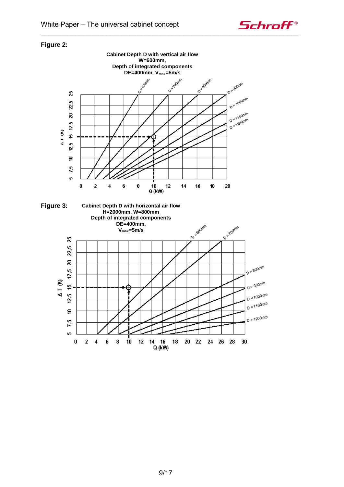

## **Figure 2:**



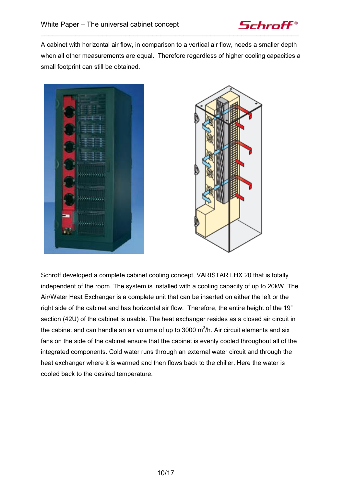

A cabinet with horizontal air flow, in comparison to a vertical air flow, needs a smaller depth when all other measurements are equal. Therefore regardless of higher cooling capacities a small footprint can still be obtained.





Schroff developed a complete cabinet cooling concept, VARISTAR LHX 20 that is totally independent of the room. The system is installed with a cooling capacity of up to 20kW. The Air/Water Heat Exchanger is a complete unit that can be inserted on either the left or the right side of the cabinet and has horizontal air flow. Therefore, the entire height of the 19" section (42U) of the cabinet is usable. The heat exchanger resides as a closed air circuit in the cabinet and can handle an air volume of up to 3000  $m^3/h$ . Air circuit elements and six fans on the side of the cabinet ensure that the cabinet is evenly cooled throughout all of the integrated components. Cold water runs through an external water circuit and through the heat exchanger where it is warmed and then flows back to the chiller. Here the water is cooled back to the desired temperature.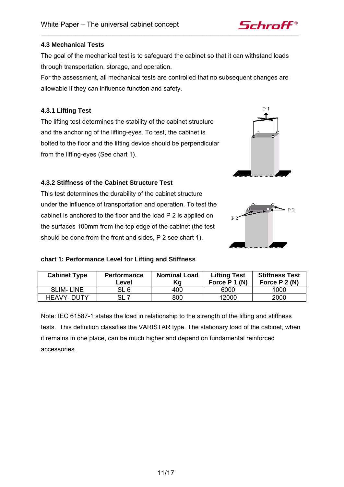### **4.3 Mechanical Tests**

The goal of the mechanical test is to safeguard the cabinet so that it can withstand loads through transportation, storage, and operation.

For the assessment, all mechanical tests are controlled that no subsequent changes are allowable if they can influence function and safety.

### **4.3.1 Lifting Test**

The lifting test determines the stability of the cabinet structure and the anchoring of the lifting-eyes. To test, the cabinet is bolted to the floor and the lifting device should be perpendicular from the lifting-eyes (See chart 1).

### **4.3.2 Stiffness of the Cabinet Structure Test**

This test determines the durability of the cabinet structure under the influence of transportation and operation. To test the cabinet is anchored to the floor and the load P 2 is applied on the surfaces 100mm from the top edge of the cabinet (the test should be done from the front and sides, P 2 see chart 1).

### **chart 1: Performance Level for Lifting and Stiffness**

| <b>Cabinet Type</b> | <b>Performance</b><br>Level | <b>Nominal Load</b><br>Κg | <b>Lifting Test</b><br>Force $P_1(N)$ | <b>Stiffness Test</b><br>Force P 2 (N) |
|---------------------|-----------------------------|---------------------------|---------------------------------------|----------------------------------------|
| <b>SLIM-LINE</b>    | SL 6                        | 400                       | 6000                                  | 1000                                   |
| <b>HEAVY-DUTY</b>   |                             | 800                       | 12000                                 | 2000                                   |

Note: IEC 61587-1 states the load in relationship to the strength of the lifting and stiffness tests. This definition classifies the VARISTAR type. The stationary load of the cabinet, when it remains in one place, can be much higher and depend on fundamental reinforced accessories.



 $R_2$ 

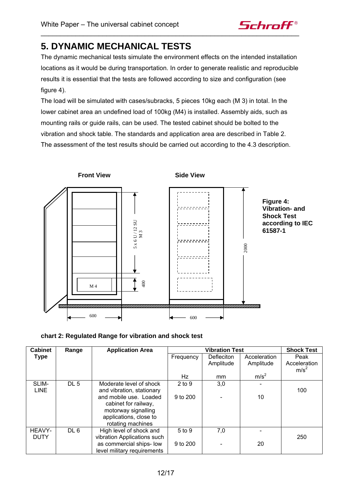

# **5. DYNAMIC MECHANICAL TESTS**

The dynamic mechanical tests simulate the environment effects on the intended installation locations as it would be during transportation. In order to generate realistic and reproducible results it is essential that the tests are followed according to size and configuration (see figure 4).

The load will be simulated with cases/subracks, 5 pieces 10kg each (M 3) in total. In the lower cabinet area an undefined load of 100kg (M4) is installed. Assembly aids, such as mounting rails or guide rails, can be used. The tested cabinet should be bolted to the vibration and shock table. The standards and application area are described in Table 2. The assessment of the test results should be carried out according to the 4.3 description.



|  |  |  |  | chart 2: Regulated Range for vibration and shock test |
|--|--|--|--|-------------------------------------------------------|
|--|--|--|--|-------------------------------------------------------|

| <b>Cabinet</b> | Range           | <b>Application Area</b>     |            | <b>Shock Test</b> |                  |                  |
|----------------|-----------------|-----------------------------|------------|-------------------|------------------|------------------|
| <b>Type</b>    |                 |                             | Frequency  | Defleciton        | Acceleration     | Peak             |
|                |                 |                             |            | Amplitude         | Amplitude        | Acceleration     |
|                |                 |                             |            |                   |                  | m/s <sup>2</sup> |
|                |                 |                             | Hz         | mm                | m/s <sup>2</sup> |                  |
| SLIM-          | DL <sub>5</sub> | Moderate level of shock     | $2$ to $9$ | 3,0               |                  |                  |
| <b>LINE</b>    |                 | and vibration, stationary   |            |                   |                  | 100              |
|                |                 | and mobile use. Loaded      | 9 to 200   |                   | 10               |                  |
|                |                 | cabinet for railway,        |            |                   |                  |                  |
|                |                 | motorway signalling         |            |                   |                  |                  |
|                |                 | applications, close to      |            |                   |                  |                  |
|                |                 | rotating machines           |            |                   |                  |                  |
| HEAVY-         | DL <sub>6</sub> | High level of shock and     | 5 to 9     | 7,0               |                  |                  |
| <b>DUTY</b>    |                 | vibration Applications such |            |                   |                  | 250              |
|                |                 | as commercial ships- low    | 9 to 200   |                   | 20               |                  |
|                |                 | level military requirements |            |                   |                  |                  |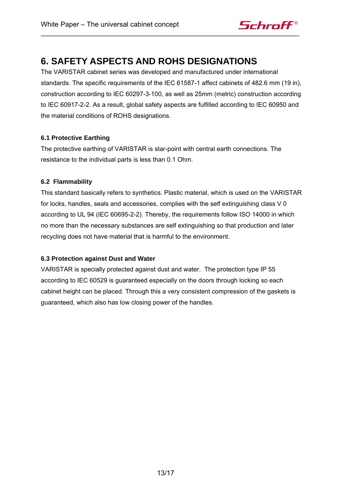

# **6. SAFETY ASPECTS AND ROHS DESIGNATIONS**

The VARISTAR cabinet series was developed and manufactured under international standards. The specific requirements of the IEC 61587-1 affect cabinets of 482.6 mm (19 in), construction according to IEC 60297-3-100, as well as 25mm (metric) construction according to IEC 60917-2-2. As a result, global safety aspects are fulfilled according to IEC 60950 and the material conditions of ROHS designations.

## **6.1 Protective Earthing**

The protective earthing of VARISTAR is star-point with central earth connections. The resistance to the individual parts is less than 0.1 Ohm.

## **6.2 Flammability**

This standard basically refers to synthetics. Plastic material, which is used on the VARISTAR for locks, handles, seals and accessories, complies with the self extinguishing class V 0 according to UL 94 (IEC 60695-2-2). Thereby, the requirements follow ISO 14000 in which no more than the necessary substances are self extinguishing so that production and later recycling does not have material that is harmful to the environment.

## **6.3 Protection against Dust and Water**

VARISTAR is specially protected against dust and water. The protection type IP 55 according to IEC 60529 is guaranteed especially on the doors through locking so each cabinet height can be placed. Through this a very consistent compression of the gaskets is guaranteed, which also has low closing power of the handles.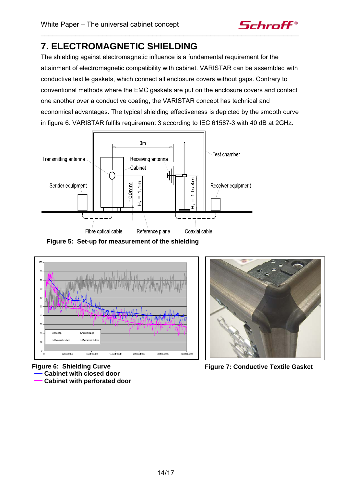

# **7. ELECTROMAGNETIC SHIELDING**

The shielding against electromagnetic influence is a fundamental requirement for the attainment of electromagnetic compatibility with cabinet. VARISTAR can be assembled with conductive textile gaskets, which connect all enclosure covers without gaps. Contrary to conventional methods where the EMC gaskets are put on the enclosure covers and contact one another over a conductive coating, the VARISTAR concept has technical and economical advantages. The typical shielding effectiveness is depicted by the smooth curve in figure 6. VARISTAR fulfils requirement 3 according to IEC 61587-3 with 40 dB at 2GHz.



**Figure 5: Set-up for measurement of the shielding** 



**Figure 6: Shielding Curve Cabinet with closed door** 

 **Cabinet with perforated door** 



**Figure 7: Conductive Textile Gasket**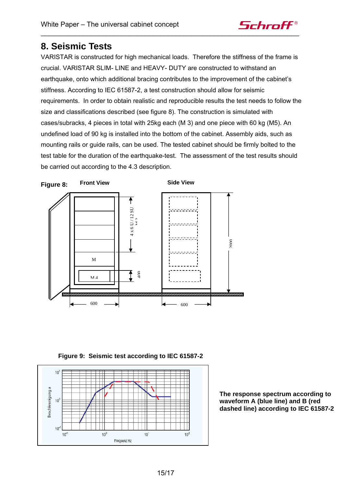

## **8. Seismic Tests**

VARISTAR is constructed for high mechanical loads. Therefore the stiffness of the frame is crucial. VARISTAR SLIM- LINE and HEAVY- DUTY are constructed to withstand an earthquake, onto which additional bracing contributes to the improvement of the cabinet's stiffness. According to IEC 61587-2, a test construction should allow for seismic requirements. In order to obtain realistic and reproducible results the test needs to follow the size and classifications described (see figure 8). The construction is simulated with cases/subracks, 4 pieces in total with 25kg each (M 3) and one piece with 60 kg (M5). An undefined load of 90 kg is installed into the bottom of the cabinet. Assembly aids, such as mounting rails or guide rails, can be used. The tested cabinet should be firmly bolted to the test table for the duration of the earthquake-test. The assessment of the test results should be carried out according to the 4.3 description.



**Figure 9: Seismic test according to IEC 61587-2** 



**The response spectrum according to waveform A (blue line) and B (red dashed line) according to IEC 61587-2**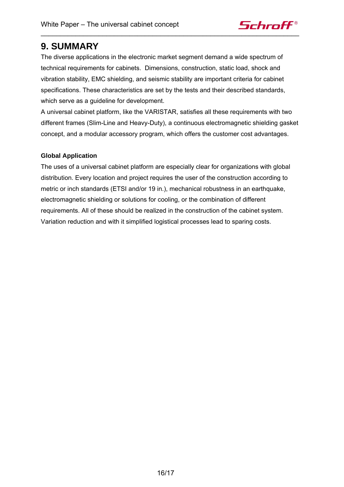

## **9. SUMMARY**

The diverse applications in the electronic market segment demand a wide spectrum of technical requirements for cabinets. Dimensions, construction, static load, shock and vibration stability, EMC shielding, and seismic stability are important criteria for cabinet specifications. These characteristics are set by the tests and their described standards, which serve as a guideline for development.

A universal cabinet platform, like the VARISTAR, satisfies all these requirements with two different frames (Slim-Line and Heavy-Duty), a continuous electromagnetic shielding gasket concept, and a modular accessory program, which offers the customer cost advantages.

## **Global Application**

The uses of a universal cabinet platform are especially clear for organizations with global distribution. Every location and project requires the user of the construction according to metric or inch standards (ETSI and/or 19 in.), mechanical robustness in an earthquake, electromagnetic shielding or solutions for cooling, or the combination of different requirements. All of these should be realized in the construction of the cabinet system. Variation reduction and with it simplified logistical processes lead to sparing costs.